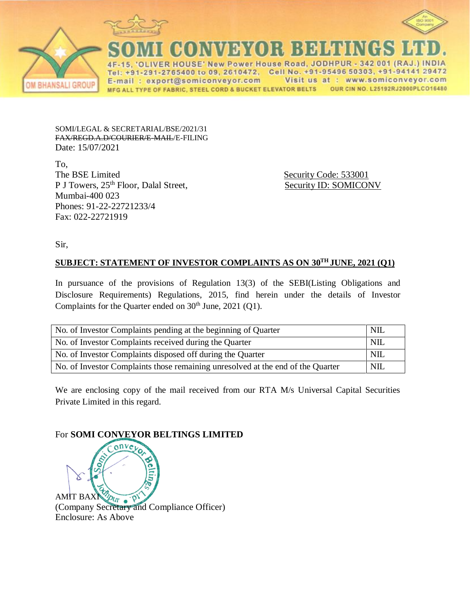



New Power House Road, JODHPUR 342 001 (RA **HSF** 2765400 to 09, 2610472, Cell No. +91-95496 50303, +91-94141 29472 E-mail: export@somiconveyor.com Visit us at : www.somiconveyor.com MFG ALL TYPE OF FABRIC, STEEL CORD & BUCKET ELEVATOR BELTS OUR CIN NO. L25192RJ2000PLCO16480

SOMI/LEGAL & SECRETARIAL/BSE/2021/31 FAX/REGD.A.D/COURIER/E-MAIL/E-FILING Date: 15/07/2021

To, The BSE Limited Security Code: 533001 P J Towers, 25<sup>th</sup> Floor, Dalal Street, Security ID: SOMICONV Mumbai-400 023 Phones: 91-22-22721233/4 Fax: 022-22721919

Sir,

## **SUBJECT: STATEMENT OF INVESTOR COMPLAINTS AS ON 30TH JUNE, 2021 (Q1)**

In pursuance of the provisions of Regulation 13(3) of the SEBI(Listing Obligations and Disclosure Requirements) Regulations, 2015, find herein under the details of Investor Complaints for the Quarter ended on  $30<sup>th</sup>$  June, 2021 (Q1).

| No. of Investor Complaints pending at the beginning of Quarter                  | NII. |
|---------------------------------------------------------------------------------|------|
| No. of Investor Complaints received during the Quarter                          | NIL  |
| No. of Investor Complaints disposed off during the Quarter                      | NII. |
| No. of Investor Complaints those remaining unresolved at the end of the Quarter | NIL. |

We are enclosing copy of the mail received from our RTA M/s Universal Capital Securities Private Limited in this regard.

## For **SOMI CONVEYOR BELTINGS LIMITED**